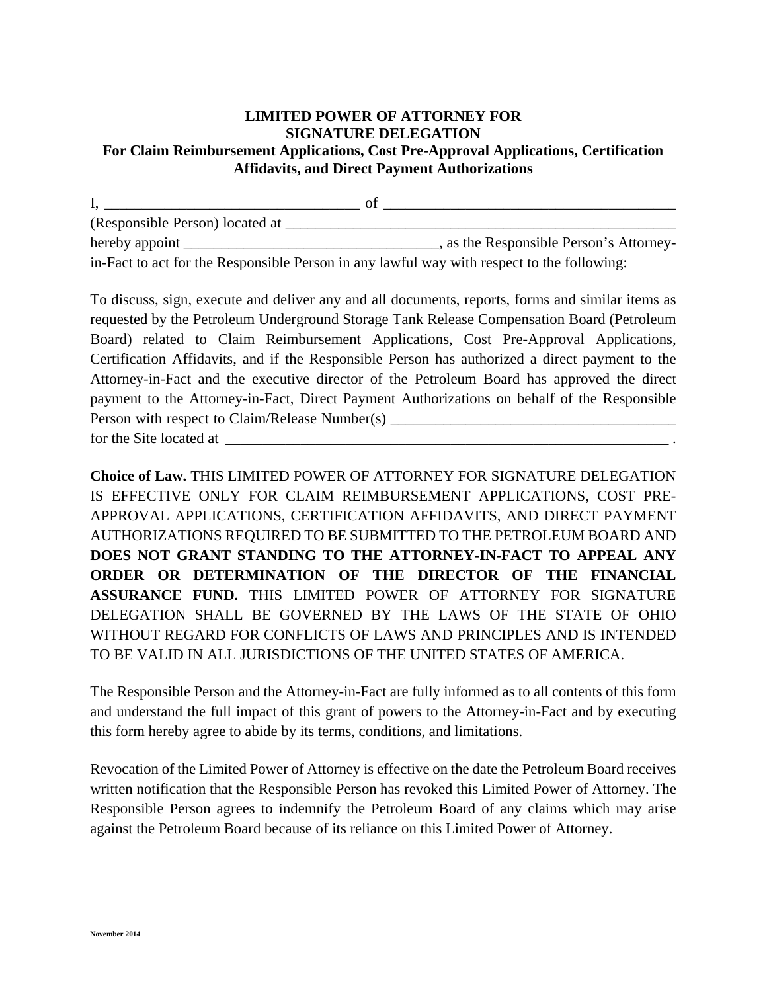## **LIMITED POWER OF ATTORNEY FOR SIGNATURE DELEGATION For Claim Reimbursement Applications, Cost Pre-Approval Applications, Certification Affidavits, and Direct Payment Authorizations**

 $I, \underline{\hspace{1cm}}$  of  $\underline{\hspace{1cm}}$ (Responsible Person) located at \_\_\_\_\_\_\_\_\_\_\_\_\_\_\_\_\_\_\_\_\_\_\_\_\_\_\_\_\_\_\_\_\_\_\_\_\_\_\_\_\_\_\_\_\_\_\_\_\_\_\_\_ hereby appoint \_\_\_\_\_\_\_\_\_\_\_\_\_\_\_\_\_\_\_\_\_\_\_\_\_\_\_\_\_\_\_\_\_\_, as the Responsible Person's Attorneyin-Fact to act for the Responsible Person in any lawful way with respect to the following:

To discuss, sign, execute and deliver any and all documents, reports, forms and similar items as requested by the Petroleum Underground Storage Tank Release Compensation Board (Petroleum Board) related to Claim Reimbursement Applications, Cost Pre-Approval Applications, Certification Affidavits, and if the Responsible Person has authorized a direct payment to the Attorney-in-Fact and the executive director of the Petroleum Board has approved the direct payment to the Attorney-in-Fact, Direct Payment Authorizations on behalf of the Responsible Person with respect to Claim/Release Number(s) \_\_\_\_\_\_\_\_\_\_\_\_\_\_\_\_\_\_\_\_\_\_\_\_\_\_\_\_\_\_\_\_\_ for the Site located at  $\overline{a}$ 

**Choice of Law.** THIS LIMITED POWER OF ATTORNEY FOR SIGNATURE DELEGATION IS EFFECTIVE ONLY FOR CLAIM REIMBURSEMENT APPLICATIONS, COST PRE-APPROVAL APPLICATIONS, CERTIFICATION AFFIDAVITS, AND DIRECT PAYMENT AUTHORIZATIONS REQUIRED TO BE SUBMITTED TO THE PETROLEUM BOARD AND **DOES NOT GRANT STANDING TO THE ATTORNEY-IN-FACT TO APPEAL ANY ORDER OR DETERMINATION OF THE DIRECTOR OF THE FINANCIAL ASSURANCE FUND.** THIS LIMITED POWER OF ATTORNEY FOR SIGNATURE DELEGATION SHALL BE GOVERNED BY THE LAWS OF THE STATE OF OHIO WITHOUT REGARD FOR CONFLICTS OF LAWS AND PRINCIPLES AND IS INTENDED TO BE VALID IN ALL JURISDICTIONS OF THE UNITED STATES OF AMERICA.

The Responsible Person and the Attorney-in-Fact are fully informed as to all contents of this form and understand the full impact of this grant of powers to the Attorney-in-Fact and by executing this form hereby agree to abide by its terms, conditions, and limitations.

Revocation of the Limited Power of Attorney is effective on the date the Petroleum Board receives written notification that the Responsible Person has revoked this Limited Power of Attorney. The Responsible Person agrees to indemnify the Petroleum Board of any claims which may arise against the Petroleum Board because of its reliance on this Limited Power of Attorney.